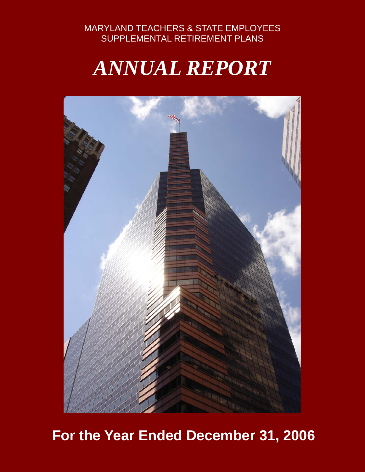#### MARYLAND TEACHERS & STATE EMPLOYEES SUPPLEMENTAL RETIREMENT PLANS

# *ANNUAL REPORT*



## **For the Year Ended December 31, 2006**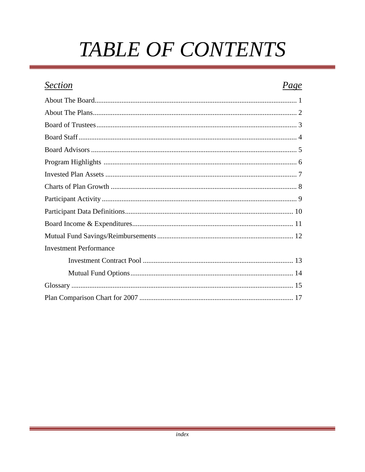# **TABLE OF CONTENTS**

### **Section** Page **Investment Performance**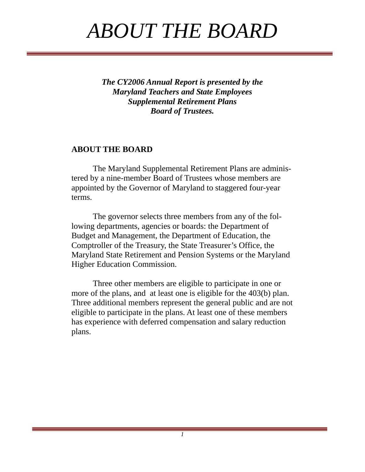# *ABOUT THE BOARD*

*The CY2006 Annual Report is presented by the Maryland Teachers and State Employees Supplemental Retirement Plans Board of Trustees.* 

#### **ABOUT THE BOARD**

 The Maryland Supplemental Retirement Plans are administered by a nine-member Board of Trustees whose members are appointed by the Governor of Maryland to staggered four-year terms.

 The governor selects three members from any of the following departments, agencies or boards: the Department of Budget and Management, the Department of Education, the Comptroller of the Treasury, the State Treasurer's Office, the Maryland State Retirement and Pension Systems or the Maryland Higher Education Commission.

 Three other members are eligible to participate in one or more of the plans, and at least one is eligible for the 403(b) plan. Three additional members represent the general public and are not eligible to participate in the plans. At least one of these members has experience with deferred compensation and salary reduction plans.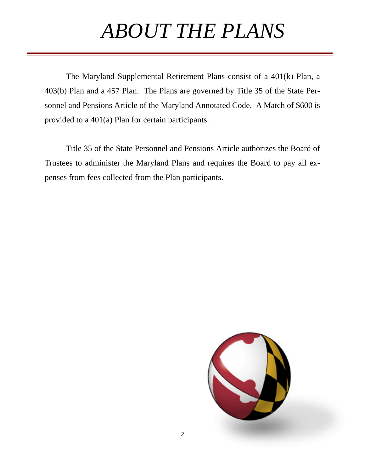# *ABOUT THE PLANS*

 The Maryland Supplemental Retirement Plans consist of a 401(k) Plan, a 403(b) Plan and a 457 Plan. The Plans are governed by Title 35 of the State Personnel and Pensions Article of the Maryland Annotated Code. A Match of \$600 is provided to a 401(a) Plan for certain participants.

 Title 35 of the State Personnel and Pensions Article authorizes the Board of Trustees to administer the Maryland Plans and requires the Board to pay all expenses from fees collected from the Plan participants.

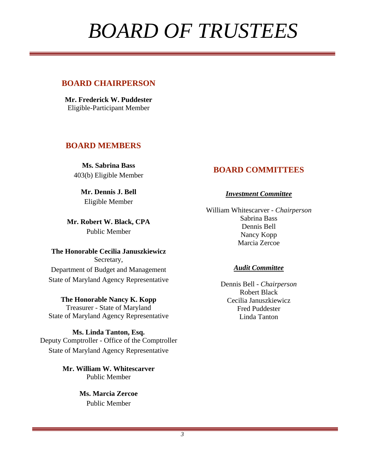# *BOARD OF TRUSTEES*

#### **BOARD CHAIRPERSON**

**Mr. Frederick W. Puddester** Eligible-Participant Member

#### **BOARD MEMBERS**

**Ms. Sabrina Bass**  403(b) Eligible Member

**Mr. Dennis J. Bell**  Eligible Member

**Mr. Robert W. Black, CPA**  Public Member

**The Honorable Cecilia Januszkiewicz** Secretary, Department of Budget and Management State of Maryland Agency Representative

**The Honorable Nancy K. Kopp**  Treasurer - State of Maryland State of Maryland Agency Representative

**Ms. Linda Tanton, Esq.**  Deputy Comptroller - Office of the Comptroller State of Maryland Agency Representative

> **Mr. William W. Whitescarver**  Public Member

> > **Ms. Marcia Zercoe** Public Member

#### **BOARD COMMITTEES**

#### *Investment Committee*

William Whitescarver - *Chairperson* Sabrina Bass Dennis Bell Nancy Kopp Marcia Zercoe

#### *Audit Committee*

Dennis Bell - *Chairperson* Robert Black Cecilia Januszkiewicz Fred Puddester Linda Tanton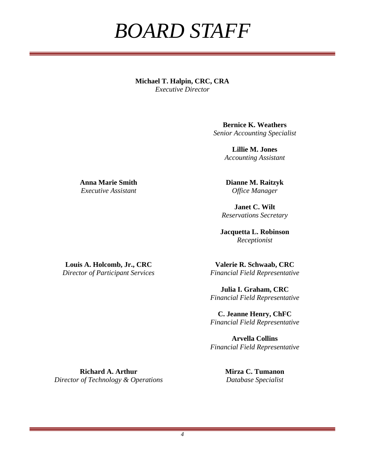## *BOARD STAFF*

**Michael T. Halpin, CRC, CRA**  *Executive Director* 

> **Bernice K. Weathers**  *Senior Accounting Specialist*

> > **Lillie M. Jones**  *Accounting Assistant*

**Dianne M. Raitzyk**  *Office Manager* 

**Janet C. Wilt**  *Reservations Secretary* 

**Jacquetta L. Robinson**  *Receptionist* 

**Louis A. Holcomb, Jr., CRC** 

**Anna Marie Smith**  *Executive Assistant* 

*Director of Participant Services* 

**Valerie R. Schwaab, CRC**  *Financial Field Representative* 

**Julia I. Graham, CRC**  *Financial Field Representative* 

**C. Jeanne Henry, ChFC** *Financial Field Representative* 

**Arvella Collins** *Financial Field Representative* 

**Richard A. Arthur**  *Director of Technology & Operations*  **Mirza C. Tumanon**  *Database Specialist*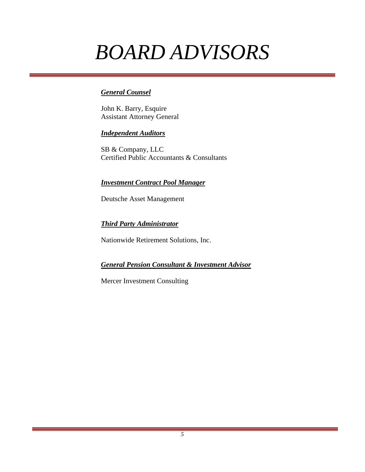# *BOARD ADVISORS*

#### *General Counsel*

John K. Barry, Esquire Assistant Attorney General

#### *Independent Auditors*

SB & Company, LLC Certified Public Accountants & Consultants

#### *Investment Contract Pool Manager*

Deutsche Asset Management

#### *Third Party Administrator*

Nationwide Retirement Solutions, Inc.

#### *General Pension Consultant & Investment Advisor*

Mercer Investment Consulting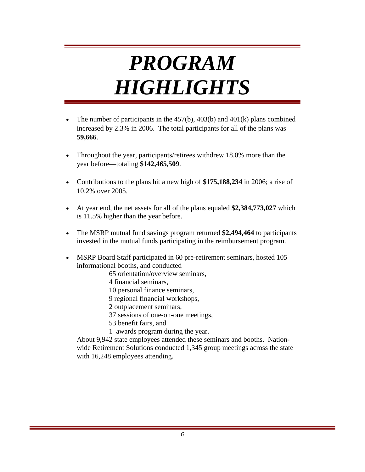# *PROGRAM HIGHLIGHTS*

- The number of participants in the  $457(b)$ ,  $403(b)$  and  $401(k)$  plans combined increased by 2.3% in 2006. The total participants for all of the plans was **59,666**.
- Throughout the year, participants/retirees withdrew 18.0% more than the year before—totaling **\$142,465,509**.
- Contributions to the plans hit a new high of **\$175,188,234** in 2006; a rise of 10.2% over 2005.
- At year end, the net assets for all of the plans equaled **\$2,384,773,027** which is 11.5% higher than the year before.
- The MSRP mutual fund savings program returned **\$2,494,464** to participants invested in the mutual funds participating in the reimbursement program.
- MSRP Board Staff participated in 60 pre-retirement seminars, hosted 105 informational booths, and conducted

65 orientation/overview seminars,

4 financial seminars,

10 personal finance seminars,

9 regional financial workshops,

2 outplacement seminars,

37 sessions of one-on-one meetings,

53 benefit fairs, and

1 awards program during the year.

About 9,942 state employees attended these seminars and booths. Nationwide Retirement Solutions conducted 1,345 group meetings across the state with 16,248 employees attending.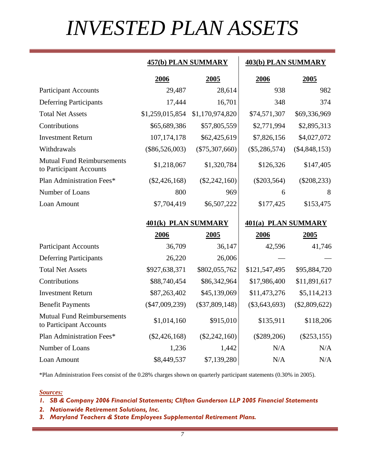# *INVESTED PLAN ASSETS*

#### **457(b) PLAN SUMMARY 403(b) PLAN SUMMARY**

|                                                              | 2006                | 2005             | 2006                | 2005            |
|--------------------------------------------------------------|---------------------|------------------|---------------------|-----------------|
| <b>Participant Accounts</b>                                  | 29,487              | 28,614           | 938                 | 982             |
| <b>Deferring Participants</b>                                | 17,444              | 16,701           | 348                 | 374             |
| <b>Total Net Assets</b>                                      | \$1,259,015,854     | \$1,170,974,820  | \$74,571,307        | \$69,336,969    |
| Contributions                                                | \$65,689,386        | \$57,805,559     | \$2,771,994         | \$2,895,313     |
| <b>Investment Return</b>                                     | 107, 174, 178       | \$62,425,619     | \$7,826,156         | \$4,027,072     |
| Withdrawals                                                  | $(\$86,526,003)$    | $(\$75,307,660)$ | $(\$5,286,574)$     | $(\$4,848,153)$ |
| <b>Mutual Fund Reimbursements</b><br>to Participant Accounts | \$1,218,067         | \$1,320,784      | \$126,326           | \$147,405       |
| Plan Administration Fees*                                    | $(\$2,426,168)$     | $(\$2,242,160)$  | $(\$203,564)$       | $(\$208,233)$   |
| Number of Loans                                              | 800                 | 969              | 6                   | 8               |
| Loan Amount                                                  | \$7,704,419         | \$6,507,222      | \$177,425           | \$153,475       |
|                                                              |                     |                  |                     |                 |
|                                                              | 401(k) PLAN SUMMARY |                  | 401(a) PLAN SUMMARY |                 |
|                                                              | 2006                | 2005             | 2006                | 2005            |
| <b>Participant Accounts</b>                                  | 36,709              | 36,147           | 42,596              | 41,746          |
| <b>Deferring Participants</b>                                | 26,220              | 26,006           |                     |                 |
| <b>Total Net Assets</b>                                      | \$927,638,371       | \$802,055,762    | \$121,547,495       | \$95,884,720    |
| Contributions                                                | \$88,740,454        | \$86,342,964     | \$17,986,400        | \$11,891,617    |
| <b>Investment Return</b>                                     | \$87,263,402        | \$45,139,069     | \$11,473,276        | \$5,114,213     |
| <b>Benefit Payments</b>                                      | $(\$47,009,239)$    | $(\$37,809,148)$ | $(\$3,643,693)$     | $(\$2,809,622)$ |
| <b>Mutual Fund Reimbursements</b><br>to Participant Accounts | \$1,014,160         | \$915,010        | \$135,911           | \$118,206       |
| Plan Administration Fees*                                    | $(\$2,426,168)$     | $(\$2,242,160)$  | $(\$289,206)$       | $(\$253,155)$   |
| Number of Loans                                              | 1,236               | 1,442            | N/A                 | N/A             |

\*Plan Administration Fees consist of the 0.28% charges shown on quarterly participant statements (0.30% in 2005).

#### *Sources:*

#### *1. SB & Company 2006 Financial Statements; Clifton Gunderson LLP 2005 Financial Statements*

- *2. Nationwide Retirement Solutions, Inc.*
- *3. Maryland Teachers & State Employees Supplemental Retirement Plans.*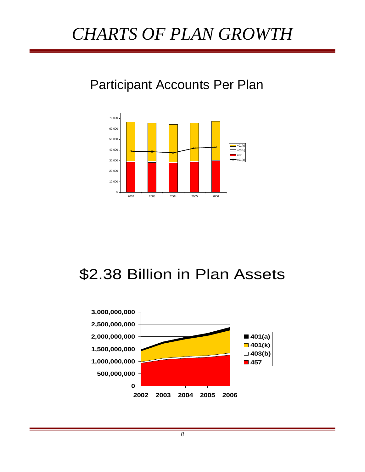## *CHARTS OF PLAN GROWTH*

## Participant Accounts Per Plan



## \$2.38 Billion in Plan Assets

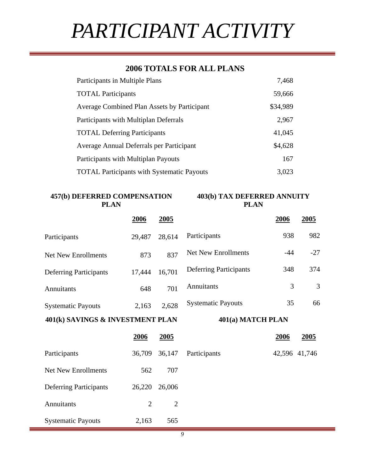# *PARTICIPANT ACTIVITY*

#### **2006 TOTALS FOR ALL PLANS**

| Participants in Multiple Plans                     | 7,468    |
|----------------------------------------------------|----------|
| <b>TOTAL Participants</b>                          | 59,666   |
| <b>Average Combined Plan Assets by Participant</b> | \$34,989 |
| Participants with Multiplan Deferrals              | 2,967    |
| <b>TOTAL Deferring Participants</b>                | 41,045   |
| Average Annual Deferrals per Participant           | \$4,628  |
| Participants with Multiplan Payouts                | 167      |
| <b>TOTAL Participants with Systematic Payouts</b>  | 3,023    |

**457(b) DEFERRED COMPENSATION PLAN** 

**403(b) TAX DEFERRED ANNUITY PLAN** 

|                                  | 2006   | 2005   |                               | 2006  | 2005  |
|----------------------------------|--------|--------|-------------------------------|-------|-------|
| Participants                     | 29,487 | 28,614 | Participants                  | 938   | 982   |
| Net New Enrollments              | 873    | 837    | <b>Net New Enrollments</b>    | $-44$ | $-27$ |
| <b>Deferring Participants</b>    | 17,444 | 16,701 | <b>Deferring Participants</b> | 348   | 374   |
| Annuitants                       | 648    | 701    | Annuitants                    | 3     | 3     |
| <b>Systematic Payouts</b>        | 2,163  | 2,628  | <b>Systematic Payouts</b>     | 35    | 66    |
| 401(k) SAVINGS & INVESTMENT PLAN |        |        | 401(a) MATCH PLAN             |       |       |

|                               | 2006   | 2005   |              | 2006 | 2005          |
|-------------------------------|--------|--------|--------------|------|---------------|
| Participants                  | 36,709 | 36,147 | Participants |      | 42,596 41,746 |
| <b>Net New Enrollments</b>    | 562    | 707    |              |      |               |
| <b>Deferring Participants</b> | 26,220 | 26,006 |              |      |               |
| Annuitants                    | 2      | 2      |              |      |               |
| <b>Systematic Payouts</b>     | 2,163  | 565    |              |      |               |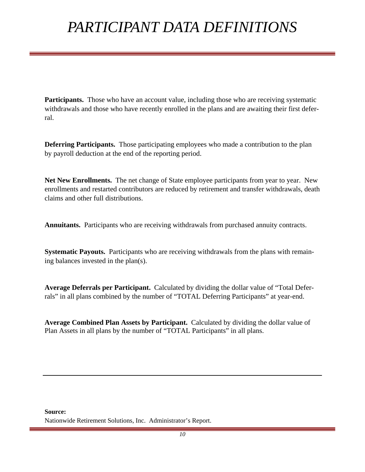## *PARTICIPANT DATA DEFINITIONS*

**Participants.** Those who have an account value, including those who are receiving systematic withdrawals and those who have recently enrolled in the plans and are awaiting their first deferral.

**Deferring Participants.** Those participating employees who made a contribution to the plan by payroll deduction at the end of the reporting period.

**Net New Enrollments.** The net change of State employee participants from year to year. New enrollments and restarted contributors are reduced by retirement and transfer withdrawals, death claims and other full distributions.

**Annuitants.** Participants who are receiving withdrawals from purchased annuity contracts.

**Systematic Payouts.** Participants who are receiving withdrawals from the plans with remaining balances invested in the plan(s).

**Average Deferrals per Participant.** Calculated by dividing the dollar value of "Total Deferrals" in all plans combined by the number of "TOTAL Deferring Participants" at year-end.

**Average Combined Plan Assets by Participant.** Calculated by dividing the dollar value of Plan Assets in all plans by the number of "TOTAL Participants" in all plans.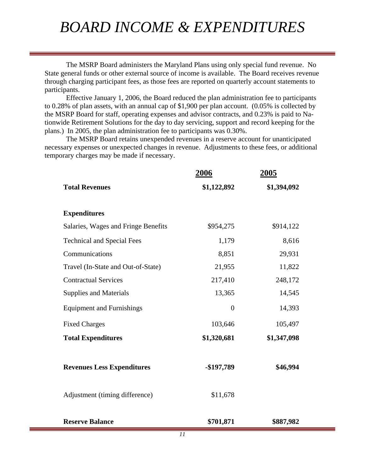## *BOARD INCOME & EXPENDITURES*

 The MSRP Board administers the Maryland Plans using only special fund revenue. No State general funds or other external source of income is available. The Board receives revenue through charging participant fees, as those fees are reported on quarterly account statements to participants.

 Effective January 1, 2006, the Board reduced the plan administration fee to participants to 0.28% of plan assets, with an annual cap of \$1,900 per plan account. (0.05% is collected by the MSRP Board for staff, operating expenses and advisor contracts, and 0.23% is paid to Nationwide Retirement Solutions for the day to day servicing, support and record keeping for the plans.) In 2005, the plan administration fee to participants was 0.30%.

 The MSRP Board retains unexpended revenues in a reserve account for unanticipated necessary expenses or unexpected changes in revenue. Adjustments to these fees, or additional temporary charges may be made if necessary.

|                                     | 2006             | 2005        |
|-------------------------------------|------------------|-------------|
| <b>Total Revenues</b>               | \$1,122,892      | \$1,394,092 |
|                                     |                  |             |
| <b>Expenditures</b>                 |                  |             |
| Salaries, Wages and Fringe Benefits | \$954,275        | \$914,122   |
| <b>Technical and Special Fees</b>   | 1,179            | 8,616       |
| Communications                      | 8,851            | 29,931      |
| Travel (In-State and Out-of-State)  | 21,955           | 11,822      |
| <b>Contractual Services</b>         | 217,410          | 248,172     |
| Supplies and Materials              | 13,365           | 14,545      |
| <b>Equipment and Furnishings</b>    | $\boldsymbol{0}$ | 14,393      |
| <b>Fixed Charges</b>                | 103,646          | 105,497     |
| <b>Total Expenditures</b>           | \$1,320,681      | \$1,347,098 |
| <b>Revenues Less Expenditures</b>   | -\$197,789       | \$46,994    |
| Adjustment (timing difference)      | \$11,678         |             |
| <b>Reserve Balance</b>              | \$701,871        | \$887,982   |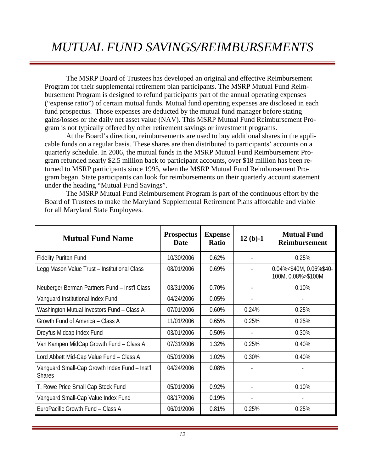## *MUTUAL FUND SAVINGS/REIMBURSEMENTS*

 The MSRP Board of Trustees has developed an original and effective Reimbursement Program for their supplemental retirement plan participants. The MSRP Mutual Fund Reimbursement Program is designed to refund participants part of the annual operating expenses ("expense ratio") of certain mutual funds. Mutual fund operating expenses are disclosed in each fund prospectus. Those expenses are deducted by the mutual fund manager before stating gains/losses or the daily net asset value (NAV). This MSRP Mutual Fund Reimbursement Program is not typically offered by other retirement savings or investment programs.

 At the Board's direction, reimbursements are used to buy additional shares in the applicable funds on a regular basis. These shares are then distributed to participants' accounts on a quarterly schedule. In 2006, the mutual funds in the MSRP Mutual Fund Reimbursement Program refunded nearly \$2.5 million back to participant accounts, over \$18 million has been returned to MSRP participants since 1995, when the MSRP Mutual Fund Reimbursement Program began. State participants can look for reimbursements on their quarterly account statement under the heading "Mutual Fund Savings".

 The MSRP Mutual Fund Reimbursement Program is part of the continuous effort by the Board of Trustees to make the Maryland Supplemental Retirement Plans affordable and viable for all Maryland State Employees.

| <b>Mutual Fund Name</b>                                        | <b>Prospectus</b><br><b>Date</b> | <b>Expense</b><br>Ratio | $12(b)-1$ | <b>Mutual Fund</b><br><b>Reimbursement</b>    |
|----------------------------------------------------------------|----------------------------------|-------------------------|-----------|-----------------------------------------------|
| <b>Fidelity Puritan Fund</b>                                   | 10/30/2006                       | 0.62%                   |           | 0.25%                                         |
| Legg Mason Value Trust - Institutional Class                   | 08/01/2006                       | 0.69%                   |           | 0.04%<\$40M, 0.06%\$40-<br>100M, 0.08%>\$100M |
| Neuberger Berman Partners Fund - Inst'l Class                  | 03/31/2006                       | 0.70%                   |           | 0.10%                                         |
| Vanguard Institutional Index Fund                              | 04/24/2006                       | 0.05%                   |           |                                               |
| Washington Mutual Investors Fund - Class A                     | 07/01/2006                       | 0.60%                   | 0.24%     | 0.25%                                         |
| Growth Fund of America - Class A                               | 11/01/2006                       | 0.65%                   | 0.25%     | 0.25%                                         |
| Dreyfus Midcap Index Fund                                      | 03/01/2006                       | 0.50%                   |           | 0.30%                                         |
| Van Kampen MidCap Growth Fund - Class A                        | 07/31/2006                       | 1.32%                   | 0.25%     | 0.40%                                         |
| Lord Abbett Mid-Cap Value Fund - Class A                       | 05/01/2006                       | 1.02%                   | 0.30%     | 0.40%                                         |
| Vanguard Small-Cap Growth Index Fund - Inst'l<br><b>Shares</b> | 04/24/2006                       | 0.08%                   |           |                                               |
| T. Rowe Price Small Cap Stock Fund                             | 05/01/2006                       | 0.92%                   |           | 0.10%                                         |
| Vanguard Small-Cap Value Index Fund                            | 08/17/2006                       | 0.19%                   |           |                                               |
| EuroPacific Growth Fund - Class A                              | 06/01/2006                       | 0.81%                   | 0.25%     | 0.25%                                         |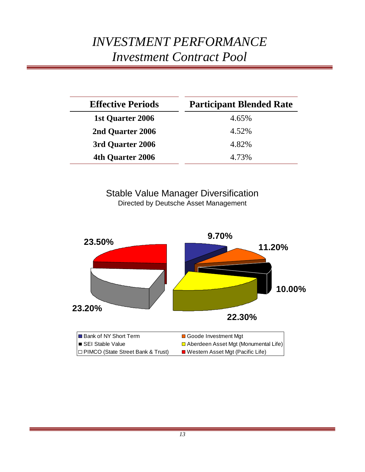### *INVESTMENT PERFORMANCE Investment Contract Pool*

| <b>Effective Periods</b> | <b>Participant Blended Rate</b> |  |  |  |  |
|--------------------------|---------------------------------|--|--|--|--|
| 1st Quarter 2006         | 4.65%                           |  |  |  |  |
| 2nd Quarter 2006         | 4.52%                           |  |  |  |  |
| 3rd Quarter 2006         | 4.82%                           |  |  |  |  |
| 4th Quarter 2006         | 4.73%                           |  |  |  |  |

#### Stable Value Manager Diversification Directed by Deutsche Asset Management

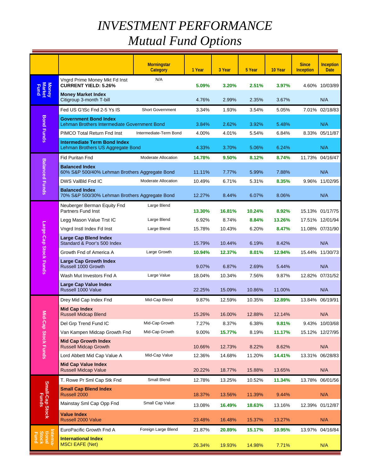## *INVESTMENT PERFORMANCE Mutual Fund Options*

|                             |                                                                              | <b>Morningstar</b><br>Category | 1 Year | 3 Year | 5 Year | 10 Year | <b>Since</b><br><b>Inception</b> | <b>Inception</b><br><b>Date</b> |
|-----------------------------|------------------------------------------------------------------------------|--------------------------------|--------|--------|--------|---------|----------------------------------|---------------------------------|
|                             | Vngrd Prime Money Mkt Fd Inst<br><b>CURRENT YIELD: 5.26%</b>                 | N/A                            | 5.09%  | 3.20%  | 2.51%  | 3.97%   |                                  | 4.60% 10/03/89                  |
| Money<br>Market<br>Fund     | <b>Money Market Index</b><br>Citigroup 3-month T-bill                        |                                | 4.76%  | 2.99%  | 2.35%  | 3.67%   |                                  | N/A                             |
|                             | Fed US G'tSc Fnd 2-5 Ys IS                                                   | Short Government               | 3.34%  | 1.93%  | 3.54%  | 5.05%   |                                  | 7.01% 02/18/83                  |
| <b>Bond Funds</b>           | <b>Government Bond Index</b><br>Lehman Brothers Intermediate Government Bond |                                | 3.84%  | 2.62%  | 3.92%  | 5.48%   |                                  | N/A                             |
|                             | PIMCO Total Return Fnd Inst                                                  | Intermediate-Term Bond         | 4.00%  | 4.01%  | 5.54%  | 6.84%   |                                  | 8.33% 05/11/87                  |
|                             | <b>Intermediate Term Bond Index</b><br>Lehman Brothers US Aggregate Bond     |                                | 4.33%  | 3.70%  | 5.06%  | 6.24%   |                                  | N/A                             |
|                             | <b>Fid Puritan Fnd</b>                                                       | Moderate Allocation            | 14.78% | 9.50%  | 8.12%  | 8.74%   |                                  | 11.73% 04/16/47                 |
| <b>Balanced Funds</b>       | <b>Balanced Index</b><br>60% S&P 500/40% Lehman Brothers Aggregate Bond      |                                | 11.11% | 7.77%  | 5.99%  | 7.88%   |                                  | N/A                             |
|                             | DWS ValBId Fnd IC                                                            | Moderate Allocation            | 10.49% | 6.71%  | 5.31%  | 8.35%   | 9.96%                            | 11/02/95                        |
|                             | <b>Balanced Index</b><br>70% S&P 500/30% Lehman Brothers Aggregate Bond      |                                | 12.27% | 8.44%  | 6.07%  | 8.06%   |                                  | N/A                             |
|                             | Neuberger Berman Equity Fnd<br><b>Partners Fund Inst</b>                     | Large Blend                    | 13.30% | 16.81% | 10.24% | 8.92%   |                                  | 15.13% 01/17/75                 |
|                             | Legg Mason Value Trst IC                                                     | Large Blend                    | 6.92%  | 8.74%  | 8.84%  | 13.26%  |                                  | 17.51% 12/01/94                 |
|                             | Vngrd Instl Index Fd Inst                                                    | Large Blend                    | 15.78% | 10.43% | 6.20%  | 8.47%   |                                  | 11.08% 07/31/90                 |
|                             | <b>Large Cap Blend Index</b><br>Standard & Poor's 500 Index                  |                                | 15.79% | 10.44% | 6.19%  | 8.42%   |                                  | N/A                             |
|                             | Growth Fnd of America A                                                      | Large Growth                   | 10.94% | 12.37% | 8.01%  | 12.94%  | 15.44%                           | 11/30/73                        |
| Large-Cap Stock Funds       | <b>Large Cap Growth Index</b><br>Russell 1000 Growth                         |                                | 9.07%  | 6.87%  | 2.69%  | 5.44%   |                                  | N/A                             |
|                             | Wash Mut Investors Fnd A                                                     | Large Value                    | 18.04% | 10.34% | 7.56%  | 9.87%   |                                  | 12.82% 07/31/52                 |
|                             | Large Cap Value Index<br>Russell 1000 Value                                  |                                | 22.25% | 15.09% | 10.86% | 11.00%  |                                  | N/A                             |
|                             | Drey Mid Cap Index Fnd                                                       | Mid-Cap Blend                  | 9.87%  | 12.59% | 10.35% | 12.89%  | 13.84%                           | 06/19/91                        |
| Μiα                         | <b>Mid Cap Index</b><br><b>Russell Midcap Blend</b>                          |                                | 15.26% | 16.00% | 12.88% | 12.14%  |                                  | N/A                             |
|                             | Del Grp Trend Fund IC                                                        | Mid-Cap Growth                 | 7.27%  | 8.37%  | 6.38%  | 9.81%   |                                  | 9.43% 10/03/68                  |
|                             | Van Kampen Midcap Growth Fnd                                                 | Mid-Cap Growth                 | 9.00%  | 15.77% | 8.19%  | 11.17%  |                                  | 15.12% 12/27/95                 |
| -Cap Stock Funds            | <b>Mid Cap Growth Index</b><br><b>Russell Midcap Growth</b>                  |                                | 10.66% | 12.73% | 8.22%  | 8.62%   |                                  | N/A                             |
|                             | Lord Abbett Mid Cap Value A                                                  | Mid-Cap Value                  | 12.36% | 14.68% | 11.20% | 14.41%  |                                  | 13.31% 06/28/83                 |
|                             | <b>Mid Cap Value Index</b><br><b>Russell Midcap Value</b>                    |                                | 20.22% | 18.77% | 15.88% | 13.65%  |                                  | N/A                             |
|                             | T. Rowe Pr Sml Cap Stk Fnd                                                   | Small Blend                    | 12.78% | 13.25% | 10.52% | 11.34%  |                                  | 13.78% 06/01/56                 |
| Small-Cap Stock<br>Funds    | <b>Small Cap Blend Index</b><br>Russell 2000                                 |                                | 18.37% | 13.56% | 11.39% | 9.44%   |                                  | N/A                             |
|                             | Mainstay Sml Cap Opp Fnd                                                     | Small Cap Value                | 13.08% | 16.49% | 18.63% | 13.16%  |                                  | 12.39% 01/12/87                 |
|                             | <b>Value Index</b><br>Russell 2000 Value                                     |                                | 23.48% | 16.48% | 15.37% | 13.27%  |                                  | N/A                             |
|                             | EuroPacific Growth Fnd A                                                     | Foreign Large Blend            | 21.87% | 20.89% | 15.17% | 10.95%  |                                  | 13.97% 04/16/84                 |
| Interna-<br>tional<br>Stock | <b>International Index</b><br><b>MSCI EAFE (Net)</b>                         |                                | 26.34% | 19.93% | 14.98% | 7.71%   |                                  | N/A                             |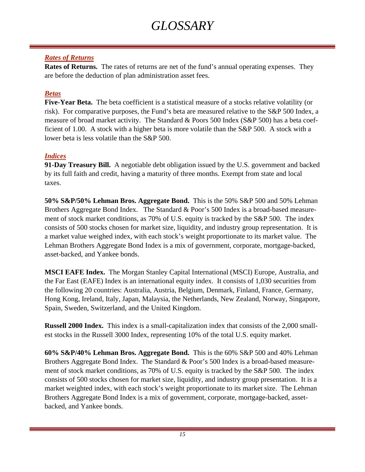## *GLOSSARY*

#### *Rates of Returns*

**Rates of Returns.** The rates of returns are net of the fund's annual operating expenses. They are before the deduction of plan administration asset fees.

#### *Betas*

**Five-Year Beta.** The beta coefficient is a statistical measure of a stocks relative volatility (or risk). For comparative purposes, the Fund's beta are measured relative to the S&P 500 Index, a measure of broad market activity. The Standard & Poors 500 Index (S&P 500) has a beta coefficient of 1.00. A stock with a higher beta is more volatile than the S&P 500. A stock with a lower beta is less volatile than the S&P 500.

#### *Indices*

**91-Day Treasury Bill.** A negotiable debt obligation issued by the U.S. government and backed by its full faith and credit, having a maturity of three months. Exempt from state and local taxes.

**50% S&P/50% Lehman Bros. Aggregate Bond.** This is the 50% S&P 500 and 50% Lehman Brothers Aggregate Bond Index. The Standard & Poor's 500 Index is a broad-based measurement of stock market conditions, as 70% of U.S. equity is tracked by the S&P 500. The index consists of 500 stocks chosen for market size, liquidity, and industry group representation. It is a market value weighed index, with each stock's weight proportionate to its market value. The Lehman Brothers Aggregate Bond Index is a mix of government, corporate, mortgage-backed, asset-backed, and Yankee bonds.

**MSCI EAFE Index.** The Morgan Stanley Capital International (MSCI) Europe, Australia, and the Far East (EAFE) Index is an international equity index. It consists of 1,030 securities from the following 20 countries: Australia, Austria, Belgium, Denmark, Finland, France, Germany, Hong Kong, Ireland, Italy, Japan, Malaysia, the Netherlands, New Zealand, Norway, Singapore, Spain, Sweden, Switzerland, and the United Kingdom.

**Russell 2000 Index.** This index is a small-capitalization index that consists of the 2,000 smallest stocks in the Russell 3000 Index, representing 10% of the total U.S. equity market.

**60% S&P/40% Lehman Bros. Aggregate Bond.** This is the 60% S&P 500 and 40% Lehman Brothers Aggregate Bond Index. The Standard & Poor's 500 Index is a broad-based measurement of stock market conditions, as 70% of U.S. equity is tracked by the S&P 500. The index consists of 500 stocks chosen for market size, liquidity, and industry group presentation. It is a market weighted index, with each stock's weight proportionate to its market size. The Lehman Brothers Aggregate Bond Index is a mix of government, corporate, mortgage-backed, assetbacked, and Yankee bonds.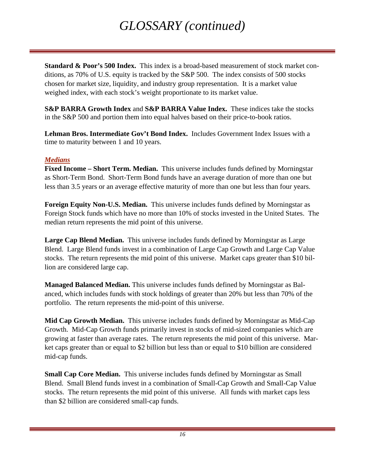## *GLOSSARY (continued)*

**Standard & Poor's 500 Index.** This index is a broad-based measurement of stock market conditions, as 70% of U.S. equity is tracked by the S&P 500. The index consists of 500 stocks chosen for market size, liquidity, and industry group representation. It is a market value weighed index, with each stock's weight proportionate to its market value.

**S&P BARRA Growth Index and <b>S&P BARRA Value Index.** These indices take the stocks in the S&P 500 and portion them into equal halves based on their price-to-book ratios.

**Lehman Bros. Intermediate Gov't Bond Index.** Includes Government Index Issues with a time to maturity between 1 and 10 years.

#### *Medians*

**Fixed Income – Short Term. Median.** This universe includes funds defined by Morningstar as Short-Term Bond. Short-Term Bond funds have an average duration of more than one but less than 3.5 years or an average effective maturity of more than one but less than four years.

**Foreign Equity Non-U.S. Median.** This universe includes funds defined by Morningstar as Foreign Stock funds which have no more than 10% of stocks invested in the United States. The median return represents the mid point of this universe.

**Large Cap Blend Median.** This universe includes funds defined by Morningstar as Large Blend. Large Blend funds invest in a combination of Large Cap Growth and Large Cap Value stocks. The return represents the mid point of this universe. Market caps greater than \$10 billion are considered large cap.

**Managed Balanced Median.** This universe includes funds defined by Morningstar as Balanced, which includes funds with stock holdings of greater than 20% but less than 70% of the portfolio. The return represents the mid-point of this universe.

**Mid Cap Growth Median.** This universe includes funds defined by Morningstar as Mid-Cap Growth. Mid-Cap Growth funds primarily invest in stocks of mid-sized companies which are growing at faster than average rates. The return represents the mid point of this universe. Market caps greater than or equal to \$2 billion but less than or equal to \$10 billion are considered mid-cap funds.

**Small Cap Core Median.** This universe includes funds defined by Morningstar as Small Blend. Small Blend funds invest in a combination of Small-Cap Growth and Small-Cap Value stocks.The return represents the mid point of this universe. All funds with market caps less than \$2 billion are considered small-cap funds.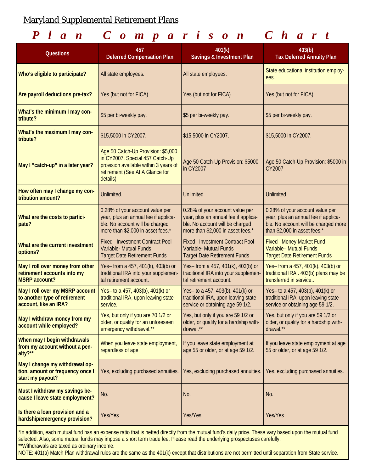#### Maryland Supplemental Retirement Plans

### *Plan Comparison Chart*

| <b>Questions</b>                                                                                                                                                                                                                                                                 | 457<br><b>Deferred Compensation Plan</b>                                                                                                                      | 401(k)<br>Savings & Investment Plan                                                                                                             | 403(b)<br><b>Tax Deferred Annuity Plan</b>                                                                                                      |  |  |  |
|----------------------------------------------------------------------------------------------------------------------------------------------------------------------------------------------------------------------------------------------------------------------------------|---------------------------------------------------------------------------------------------------------------------------------------------------------------|-------------------------------------------------------------------------------------------------------------------------------------------------|-------------------------------------------------------------------------------------------------------------------------------------------------|--|--|--|
| Who's eligible to participate?                                                                                                                                                                                                                                                   | All state employees.                                                                                                                                          | All state employees.                                                                                                                            | State educational institution employ-<br>ees.                                                                                                   |  |  |  |
| Are payroll deductions pre-tax?                                                                                                                                                                                                                                                  | Yes (but not for FICA)                                                                                                                                        | Yes (but not for FICA)                                                                                                                          | Yes (but not for FICA)                                                                                                                          |  |  |  |
| What's the minimum I may con-<br>tribute?                                                                                                                                                                                                                                        | \$5 per bi-weekly pay.                                                                                                                                        | \$5 per bi-weekly pay.                                                                                                                          | \$5 per bi-weekly pay.                                                                                                                          |  |  |  |
| What's the maximum I may con-<br>tribute?                                                                                                                                                                                                                                        | \$15,5000 in CY2007.                                                                                                                                          | \$15,5000 in CY2007.                                                                                                                            | \$15,5000 in CY2007.                                                                                                                            |  |  |  |
| May I "catch-up" in a later year?                                                                                                                                                                                                                                                | Age 50 Catch-Up Provision: \$5,000<br>in CY2007. Special 457 Catch-Up<br>provision available within 3 years of<br>retirement (See At A Glance for<br>details) | Age 50 Catch-Up Provision: \$5000<br>in CY2007                                                                                                  | Age 50 Catch-Up Provision: \$5000 in<br>CY2007                                                                                                  |  |  |  |
| How often may I change my con-<br>tribution amount?                                                                                                                                                                                                                              | Unlimited.                                                                                                                                                    | Unlimited                                                                                                                                       | <b>Unlimited</b>                                                                                                                                |  |  |  |
| What are the costs to partici-<br>pate?                                                                                                                                                                                                                                          | 0.28% of your account value per<br>year, plus an annual fee if applica-<br>ble. No account will be charged<br>more than \$2,000 in asset fees.*               | 0.28% of your account value per<br>year, plus an annual fee if applica-<br>ble. No account will be charged<br>more than \$2,000 in asset fees.* | 0.28% of your account value per<br>year, plus an annual fee if applica-<br>ble. No account will be charged more<br>than \$2,000 in asset fees.* |  |  |  |
| What are the current investment<br>options?                                                                                                                                                                                                                                      | Fixed- Investment Contract Pool<br>Variable- Mutual Funds<br><b>Target Date Retirement Funds</b>                                                              | Fixed- Investment Contract Pool<br>Variable- Mutual Funds<br><b>Target Date Retirement Funds</b>                                                | Fixed- Money Market Fund<br>Variable- Mutual Funds<br><b>Target Date Retirement Funds</b>                                                       |  |  |  |
| May I roll over money from other<br>retirement accounts into my<br><b>MSRP</b> account?                                                                                                                                                                                          | Yes- from a 457, 401(k), 403(b) or<br>traditional IRA into your supplemen-<br>tal retirement account.                                                         | Yes- from a 457, 401(k), 403(b) or<br>traditional IRA into your supplemen-<br>tal retirement account.                                           | Yes- from a 457, 401(k), 403(b) or<br>traditional IRA . 403(b) plans may be<br>transferred in service                                           |  |  |  |
| May I roll over my MSRP account<br>to another type of retirement<br>account, like an IRA?                                                                                                                                                                                        | Yes- to a 457, 403(b), 401(k) or<br>traditional IRA, upon leaving state<br>service.                                                                           | Yes- to a 457, 403(b), 401(k) or<br>traditional IRA, upon leaving state<br>service or obtaining age 59 1/2.                                     | Yes- to a 457, 403(b), 401(k) or<br>traditional IRA, upon leaving state<br>service or obtaining age 59 1/2.                                     |  |  |  |
| May I withdraw money from my<br>account while employed?                                                                                                                                                                                                                          | Yes, but only if you are 70 1/2 or<br>older, or qualify for an unforeseen<br>emergency withdrawal.**                                                          | Yes, but only if you are 59 1/2 or<br>older, or qualify for a hardship with-<br>drawal.**                                                       | Yes, but only if you are 59 1/2 or<br>older, or qualify for a hardship with-<br>drawal.**                                                       |  |  |  |
| When may I begin withdrawals<br>from my account without a pen-<br>alty?**                                                                                                                                                                                                        | When you leave state employment,<br>regardless of age                                                                                                         | If you leave state employment at<br>age 55 or older, or at age 59 1/2.                                                                          | If you leave state employment at age<br>55 or older, or at age 59 1/2.                                                                          |  |  |  |
| May I change my withdrawal op-<br>tion, amount or frequency once I<br>start my payout?                                                                                                                                                                                           | Yes, excluding purchased annuities.                                                                                                                           | Yes, excluding purchased annuities.                                                                                                             | Yes, excluding purchased annuities.                                                                                                             |  |  |  |
| Must I withdraw my savings be-<br>cause I leave state employment?                                                                                                                                                                                                                | No.                                                                                                                                                           | No.                                                                                                                                             | No.                                                                                                                                             |  |  |  |
| Is there a loan provision and a<br>hardship/emergency provision?                                                                                                                                                                                                                 | Yes/Yes                                                                                                                                                       | Yes/Yes                                                                                                                                         | Yes/Yes                                                                                                                                         |  |  |  |
| *In addition, each mutual fund has an expense ratio that is netted directly from the mutual fund's daily price. These vary based upon the mutual fund<br>selected. Also, some mutual funds may impose a short term trade fee. Please read the underlying prospectuses carefully. |                                                                                                                                                               |                                                                                                                                                 |                                                                                                                                                 |  |  |  |

NOTE: 401(a) Match Plan withdrawal rules are the same as the 401(k) except that distributions are not permitted until separation from State service.

\*\*Withdrawals are taxed as ordinary income.